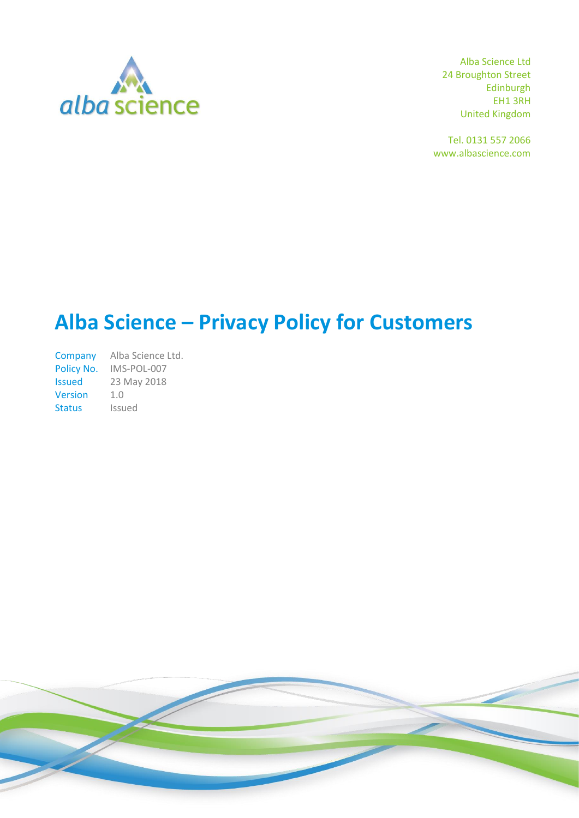

Alba Science Ltd 24 Broughton Street Edinburgh EH1 3RH United Kingdom

Tel. 0131 557 2066 www.albascience.com

# **Alba Science – Privacy Policy for Customers**

Company Alba Science Ltd. Policy No. IMS-POL-007 Issued 23 May 2018 Version 1.0 Status Issued

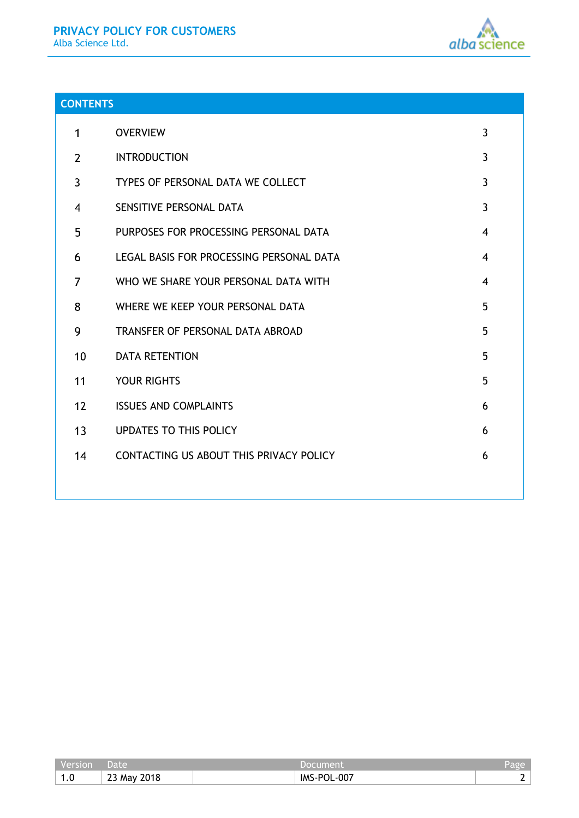

# **CONTENTS**

| 1              | <b>OVERVIEW</b>                          | $\overline{3}$ |
|----------------|------------------------------------------|----------------|
| $\overline{2}$ | <b>INTRODUCTION</b>                      | $\mathbf{3}$   |
| 3              | TYPES OF PERSONAL DATA WE COLLECT        | $\mathbf{3}$   |
| 4              | SENSITIVE PERSONAL DATA                  | $\overline{3}$ |
| 5              | PURPOSES FOR PROCESSING PERSONAL DATA    | $\overline{4}$ |
| 6              | LEGAL BASIS FOR PROCESSING PERSONAL DATA | 4              |
| 7              | WHO WE SHARE YOUR PERSONAL DATA WITH     | $\overline{4}$ |
| 8              | WHERE WE KEEP YOUR PERSONAL DATA         | 5              |
| 9              | TRANSFER OF PERSONAL DATA ABROAD         | 5              |
| 10             | <b>DATA RETENTION</b>                    | 5              |
| 11             | <b>YOUR RIGHTS</b>                       | 5              |
| 12             | <b>ISSUES AND COMPLAINTS</b>             | 6              |
| 13             | <b>UPDATES TO THIS POLICY</b>            | 6              |
| 14             | CONTACTING US ABOUT THIS PRIVACY POLICY  | 6              |
|                |                                          |                |

| version               | Jate                               |                         | $ \epsilon$ 20 |
|-----------------------|------------------------------------|-------------------------|----------------|
| $\overline{A}$<br>1.0 | 2018<br>$\sim$ $\sim$<br>∴∠3 Ma∨ ∴ | $-007$<br>IMS-<br>…∽P∩! |                |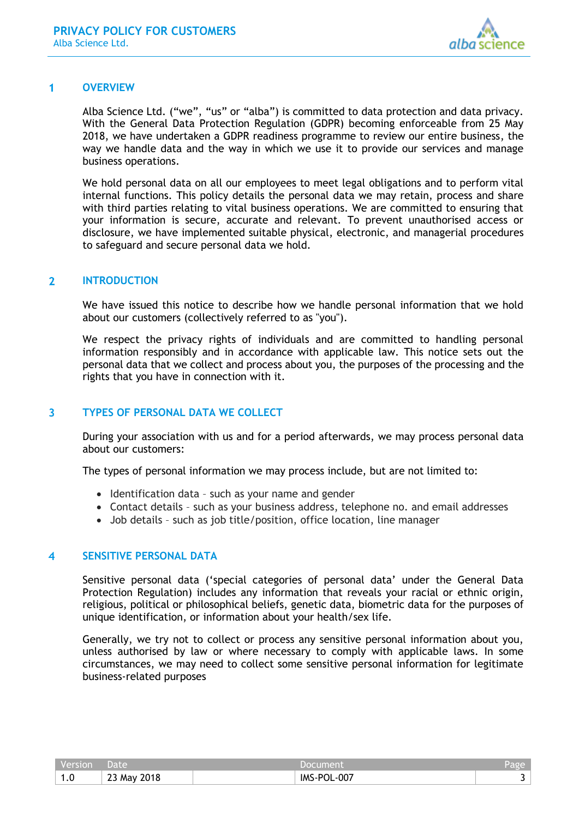

#### <span id="page-2-0"></span> $\blacktriangleleft$ **OVERVIEW**

Alba Science Ltd. ("we", "us" or "alba") is committed to data protection and data privacy. With the General Data Protection Regulation (GDPR) becoming enforceable from 25 May 2018, we have undertaken a GDPR readiness programme to review our entire business, the way we handle data and the way in which we use it to provide our services and manage business operations.

We hold personal data on all our employees to meet legal obligations and to perform vital internal functions. This policy details the personal data we may retain, process and share with third parties relating to vital business operations. We are committed to ensuring that your information is secure, accurate and relevant. To prevent unauthorised access or disclosure, we have implemented suitable physical, electronic, and managerial procedures to safeguard and secure personal data we hold.

#### <span id="page-2-1"></span> $\overline{2}$ **INTRODUCTION**

We have issued this notice to describe how we handle personal information that we hold about our customers (collectively referred to as "you").

We respect the privacy rights of individuals and are committed to handling personal information responsibly and in accordance with applicable law. This notice sets out the personal data that we collect and process about you, the purposes of the processing and the rights that you have in connection with it.

#### <span id="page-2-2"></span> $\overline{\mathbf{3}}$ **TYPES OF PERSONAL DATA WE COLLECT**

During your association with us and for a period afterwards, we may process personal data about our customers:

The types of personal information we may process include, but are not limited to:

- Identification data such as your name and gender
- Contact details such as your business address, telephone no. and email addresses
- Job details such as job title/position, office location, line manager

#### <span id="page-2-3"></span>**SENSITIVE PERSONAL DATA** 4

Sensitive personal data ('special categories of personal data' under the General Data Protection Regulation) includes any information that reveals your racial or ethnic origin, religious, political or philosophical beliefs, genetic data, biometric data for the purposes of unique identification, or information about your health/sex life.

Generally, we try not to collect or process any sensitive personal information about you, unless authorised by law or where necessary to comply with applicable laws. In some circumstances, we may need to collect some sensitive personal information for legitimate business-related purposes

| Version | ' Date,     | Document    | Page <sup>'</sup> |
|---------|-------------|-------------|-------------------|
| 1.0     | 23 May 2018 | IMS-POL-007 |                   |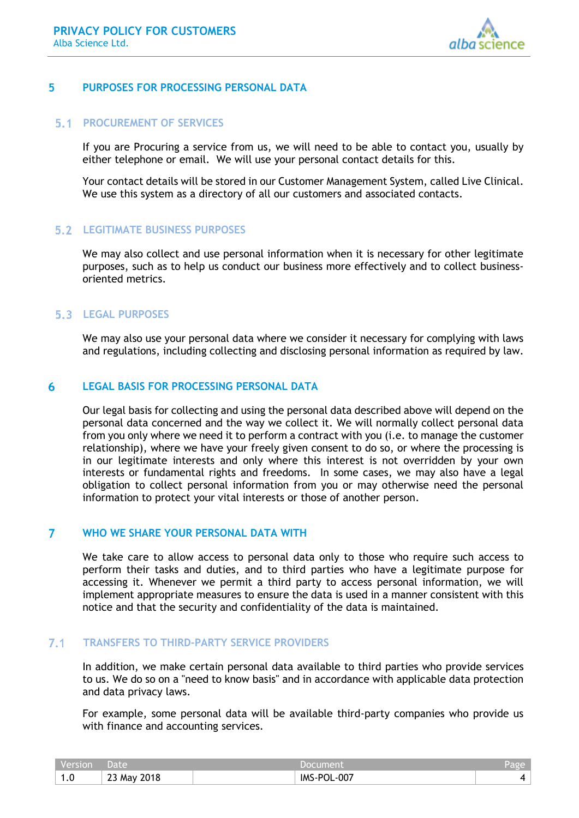

#### <span id="page-3-0"></span>5 **PURPOSES FOR PROCESSING PERSONAL DATA**

## **PROCUREMENT OF SERVICES**

If you are Procuring a service from us, we will need to be able to contact you, usually by either telephone or email. We will use your personal contact details for this.

Your contact details will be stored in our Customer Management System, called Live Clinical. We use this system as a directory of all our customers and associated contacts.

## **LEGITIMATE BUSINESS PURPOSES**

We may also collect and use personal information when it is necessary for other legitimate purposes, such as to help us conduct our business more effectively and to collect businessoriented metrics.

# **LEGAL PURPOSES**

We may also use your personal data where we consider it necessary for complying with laws and regulations, including collecting and disclosing personal information as required by law.

#### <span id="page-3-1"></span>6 **LEGAL BASIS FOR PROCESSING PERSONAL DATA**

Our legal basis for collecting and using the personal data described above will depend on the personal data concerned and the way we collect it. We will normally collect personal data from you only where we need it to perform a contract with you (i.e. to manage the customer relationship), where we have your freely given consent to do so, or where the processing is in our legitimate interests and only where this interest is not overridden by your own interests or fundamental rights and freedoms. In some cases, we may also have a legal obligation to collect personal information from you or may otherwise need the personal information to protect your vital interests or those of another person.

#### <span id="page-3-2"></span> $\overline{7}$ **WHO WE SHARE YOUR PERSONAL DATA WITH**

We take care to allow access to personal data only to those who require such access to perform their tasks and duties, and to third parties who have a legitimate purpose for accessing it. Whenever we permit a third party to access personal information, we will implement appropriate measures to ensure the data is used in a manner consistent with this notice and that the security and confidentiality of the data is maintained.

#### $7.1$ **TRANSFERS TO THIRD-PARTY SERVICE PROVIDERS**

In addition, we make certain personal data available to third parties who provide services to us. We do so on a "need to know basis" and in accordance with applicable data protection and data privacy laws.

For example, some personal data will be available third-party companies who provide us with finance and accounting services.

| Version | Date                       |                   | Page |
|---------|----------------------------|-------------------|------|
| 1.0     | 2018<br>ົ່າ ລ<br>∴∠3 Mav ∵ | $-007$<br>IMS-POL |      |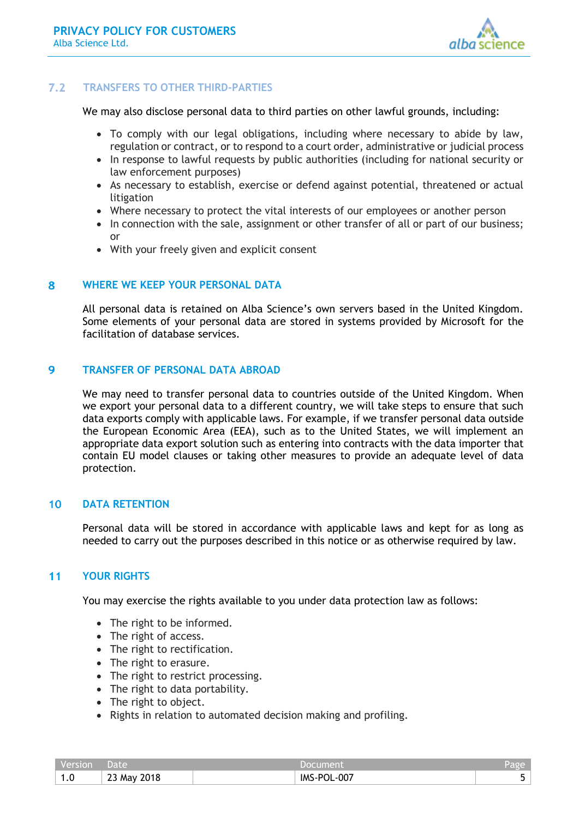

#### $7.2$ **TRANSFERS TO OTHER THIRD-PARTIES**

We may also disclose personal data to third parties on other lawful grounds, including:

- To comply with our legal obligations, including where necessary to abide by law, regulation or contract, or to respond to a court order, administrative or judicial process
- In response to lawful requests by public authorities (including for national security or law enforcement purposes)
- As necessary to establish, exercise or defend against potential, threatened or actual litigation
- Where necessary to protect the vital interests of our employees or another person
- In connection with the sale, assignment or other transfer of all or part of our business; or
- With your freely given and explicit consent

#### <span id="page-4-0"></span>8 **WHERE WE KEEP YOUR PERSONAL DATA**

All personal data is retained on Alba Science's own servers based in the United Kingdom. Some elements of your personal data are stored in systems provided by Microsoft for the facilitation of database services.

#### <span id="page-4-1"></span>9 **TRANSFER OF PERSONAL DATA ABROAD**

We may need to transfer personal data to countries outside of the United Kingdom. When we export your personal data to a different country, we will take steps to ensure that such data exports comply with applicable laws. For example, if we transfer personal data outside the European Economic Area (EEA), such as to the United States, we will implement an appropriate data export solution such as entering into contracts with the data importer that contain EU model clauses or taking other measures to provide an adequate level of data protection.

#### <span id="page-4-2"></span> $10<sup>°</sup>$ **DATA RETENTION**

Personal data will be stored in accordance with applicable laws and kept for as long as needed to carry out the purposes described in this notice or as otherwise required by law.

#### <span id="page-4-3"></span> $11$ **YOUR RIGHTS**

You may exercise the rights available to you under data protection law as follows:

- The right to be informed.
- The right of access.
- The right to rectification.
- The right to erasure.
- The right to restrict processing.
- The right to data portability.
- The right to object.
- Rights in relation to automated decision making and profiling.

| Version | Date        | Document    | Page |
|---------|-------------|-------------|------|
| 1.0     | 23 May 2018 | IMS-POL-007 |      |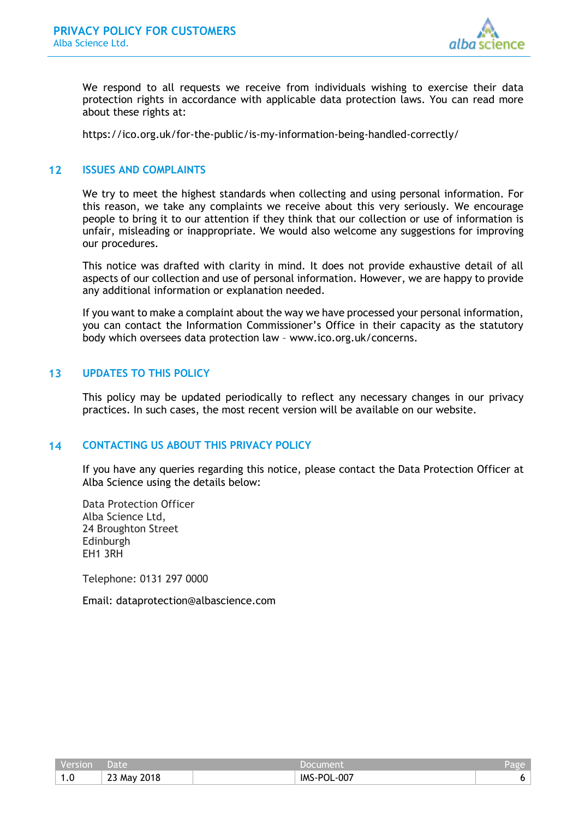

We respond to all requests we receive from individuals wishing to exercise their data protection rights in accordance with applicable data protection laws. You can read more about these rights at:

<https://ico.org.uk/for-the-public/is-my-information-being-handled-correctly/>

#### <span id="page-5-0"></span> $12<sup>1</sup>$ **ISSUES AND COMPLAINTS**

We try to meet the highest standards when collecting and using personal information. For this reason, we take any complaints we receive about this very seriously. We encourage people to bring it to our attention if they think that our collection or use of information is unfair, misleading or inappropriate. We would also welcome any suggestions for improving our procedures.

This notice was drafted with clarity in mind. It does not provide exhaustive detail of all aspects of our collection and use of personal information. However, we are happy to provide any additional information or explanation needed.

If you want to make a complaint about the way we have processed your personal information, you can contact the Information Commissioner's Office in their capacity as the statutory body which oversees data protection law – [www.ico.org.uk/concerns.](http://www.ico.org.uk/concerns)

#### <span id="page-5-1"></span> $13$ **UPDATES TO THIS POLICY**

This policy may be updated periodically to reflect any necessary changes in our privacy practices. In such cases, the most recent version will be available on our website.

#### <span id="page-5-2"></span> $14$ **CONTACTING US ABOUT THIS PRIVACY POLICY**

If you have any queries regarding this notice, please contact the Data Protection Officer at Alba Science using the details below:

Data Protection Officer Alba Science Ltd, 24 Broughton Street Edinburgh EH1 3RH

Telephone: 0131 297 0000

Email: dataprotection@albascience.com

| Version | <b>Date</b> | Document    | Page |
|---------|-------------|-------------|------|
| v       | 23 May 2018 | IMS-POL-007 |      |